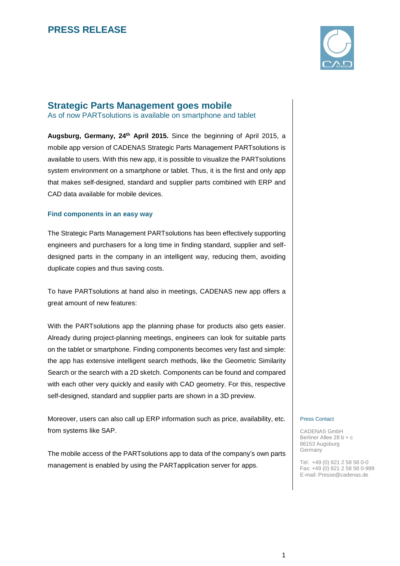

### **Strategic Parts Management goes mobile**

As of now PARTsolutions is available on smartphone and tablet

**Augsburg, Germany, 24th April 2015.** Since the beginning of April 2015, a mobile app version of CADENAS Strategic Parts Management PARTsolutions is available to users. With this new app, it is possible to visualize the PARTsolutions system environment on a smartphone or tablet. Thus, it is the first and only app that makes self-designed, standard and supplier parts combined with ERP and CAD data available for mobile devices.

### **Find components in an easy way**

The Strategic Parts Management PARTsolutions has been effectively supporting engineers and purchasers for a long time in finding standard, supplier and selfdesigned parts in the company in an intelligent way, reducing them, avoiding duplicate copies and thus saving costs.

To have PARTsolutions at hand also in meetings, CADENAS new app offers a great amount of new features:

With the PARTsolutions app the planning phase for products also gets easier. Already during project-planning meetings, engineers can look for suitable parts on the tablet or smartphone. Finding components becomes very fast and simple: the app has extensive intelligent search methods, like the Geometric Similarity Search or the search with a 2D sketch. Components can be found and compared with each other very quickly and easily with CAD geometry. For this, respective self-designed, standard and supplier parts are shown in a 3D preview.

Moreover, users can also call up ERP information such as price, availability, etc. from systems like SAP.

The mobile access of the PARTsolutions app to data of the company's own parts management is enabled by using the PARTapplication server for apps.

#### Press Contact

CADENAS GmbH Berliner Allee 28 b + c 86153 Augsburg Germany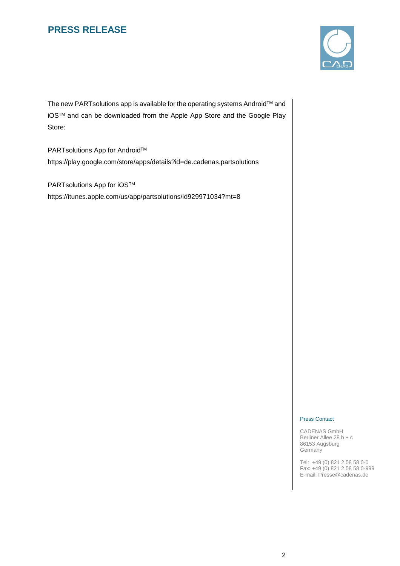

The new PARTsolutions app is available for the operating systems Android™ and iOSTM and can be downloaded from the Apple App Store and the Google Play Store:

PARTsolutions App for Android™ <https://play.google.com/store/apps/details?id=de.cadenas.partsolutions>

PARTsolutions App for iOS™ <https://itunes.apple.com/us/app/partsolutions/id929971034?mt=8>

#### Press Contact

CADENAS GmbH Berliner Allee 28 b + c 86153 Augsburg Germany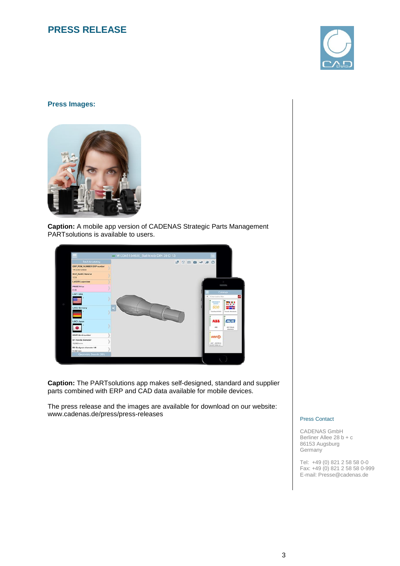

### **Press Images:**



**Caption:** A mobile app version of CADENAS Strategic Parts Management PARTsolutions is available to users.



**Caption:** The PARTsolutions app makes self-designed, standard and supplier parts combined with ERP and CAD data available for mobile devices.

The press release and the images are available for download on our website: www.cadenas.de/press/press-releases

#### Press Contact

CADENAS GmbH Berliner Allee 28 b + c 86153 Augsburg Germany